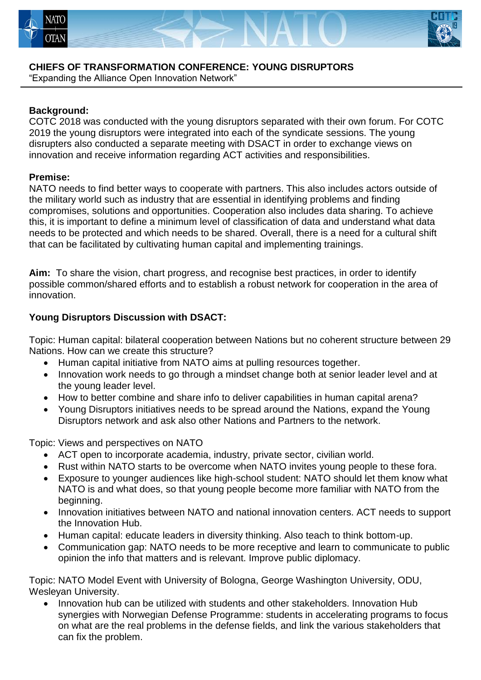



## **CHIEFS OF TRANSFORMATION CONFERENCE: YOUNG DISRUPTORS**

"Expanding the Alliance Open Innovation Network"

## **Background:**

COTC 2018 was conducted with the young disruptors separated with their own forum. For COTC 2019 the young disruptors were integrated into each of the syndicate sessions. The young disrupters also conducted a separate meeting with DSACT in order to exchange views on innovation and receive information regarding ACT activities and responsibilities.

## **Premise:**

NATO needs to find better ways to cooperate with partners. This also includes actors outside of the military world such as industry that are essential in identifying problems and finding compromises, solutions and opportunities. Cooperation also includes data sharing. To achieve this, it is important to define a minimum level of classification of data and understand what data needs to be protected and which needs to be shared. Overall, there is a need for a cultural shift that can be facilitated by cultivating human capital and implementing trainings.

**Aim:** To share the vision, chart progress, and recognise best practices, in order to identify possible common/shared efforts and to establish a robust network for cooperation in the area of innovation.

## **Young Disruptors Discussion with DSACT:**

Topic: Human capital: bilateral cooperation between Nations but no coherent structure between 29 Nations. How can we create this structure?

- Human capital initiative from NATO aims at pulling resources together.
- Innovation work needs to go through a mindset change both at senior leader level and at the young leader level.
- How to better combine and share info to deliver capabilities in human capital arena?
- Young Disruptors initiatives needs to be spread around the Nations, expand the Young Disruptors network and ask also other Nations and Partners to the network.

Topic: Views and perspectives on NATO

- ACT open to incorporate academia, industry, private sector, civilian world.
- Rust within NATO starts to be overcome when NATO invites young people to these fora.
- Exposure to younger audiences like high-school student: NATO should let them know what NATO is and what does, so that young people become more familiar with NATO from the beginning.
- Innovation initiatives between NATO and national innovation centers. ACT needs to support the Innovation Hub.
- Human capital: educate leaders in diversity thinking. Also teach to think bottom-up.
- Communication gap: NATO needs to be more receptive and learn to communicate to public opinion the info that matters and is relevant. Improve public diplomacy.

Topic: NATO Model Event with University of Bologna, George Washington University, ODU, Wesleyan University.

• Innovation hub can be utilized with students and other stakeholders. Innovation Hub synergies with Norwegian Defense Programme: students in accelerating programs to focus on what are the real problems in the defense fields, and link the various stakeholders that can fix the problem.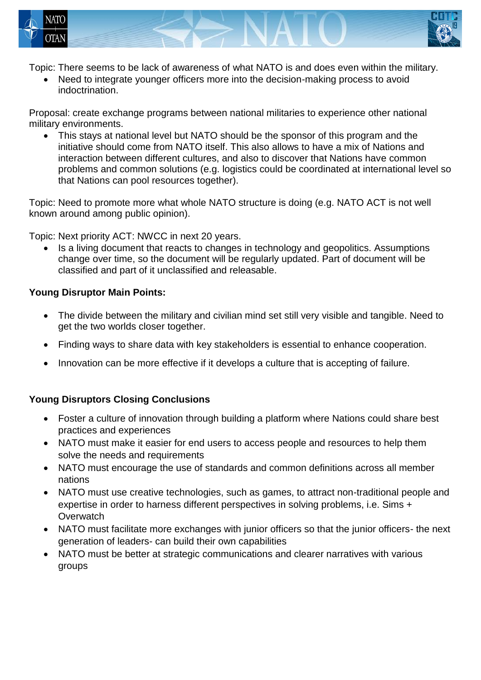



Topic: There seems to be lack of awareness of what NATO is and does even within the military.

 Need to integrate younger officers more into the decision-making process to avoid indoctrination.

Proposal: create exchange programs between national militaries to experience other national military environments.

 This stays at national level but NATO should be the sponsor of this program and the initiative should come from NATO itself. This also allows to have a mix of Nations and interaction between different cultures, and also to discover that Nations have common problems and common solutions (e.g. logistics could be coordinated at international level so that Nations can pool resources together).

Topic: Need to promote more what whole NATO structure is doing (e.g. NATO ACT is not well known around among public opinion).

Topic: Next priority ACT: NWCC in next 20 years.

 Is a living document that reacts to changes in technology and geopolitics. Assumptions change over time, so the document will be regularly updated. Part of document will be classified and part of it unclassified and releasable.

## **Young Disruptor Main Points:**

- The divide between the military and civilian mind set still very visible and tangible. Need to get the two worlds closer together.
- Finding ways to share data with key stakeholders is essential to enhance cooperation.
- Innovation can be more effective if it develops a culture that is accepting of failure.

## **Young Disruptors Closing Conclusions**

- Foster a culture of innovation through building a platform where Nations could share best practices and experiences
- NATO must make it easier for end users to access people and resources to help them solve the needs and requirements
- NATO must encourage the use of standards and common definitions across all member nations
- NATO must use creative technologies, such as games, to attract non-traditional people and expertise in order to harness different perspectives in solving problems, i.e. Sims + **Overwatch**
- NATO must facilitate more exchanges with junior officers so that the junior officers- the next generation of leaders- can build their own capabilities
- NATO must be better at strategic communications and clearer narratives with various groups